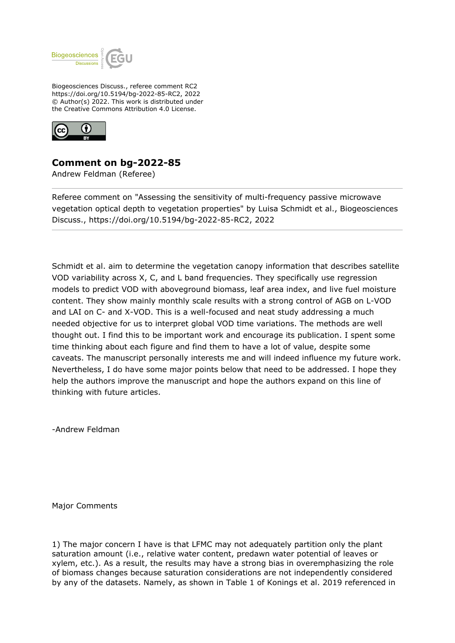

Biogeosciences Discuss., referee comment RC2 https://doi.org/10.5194/bg-2022-85-RC2, 2022 © Author(s) 2022. This work is distributed under the Creative Commons Attribution 4.0 License.



## **Comment on bg-2022-85**

Andrew Feldman (Referee)

Referee comment on "Assessing the sensitivity of multi-frequency passive microwave vegetation optical depth to vegetation properties" by Luisa Schmidt et al., Biogeosciences Discuss., https://doi.org/10.5194/bg-2022-85-RC2, 2022

Schmidt et al. aim to determine the vegetation canopy information that describes satellite VOD variability across X, C, and L band frequencies. They specifically use regression models to predict VOD with aboveground biomass, leaf area index, and live fuel moisture content. They show mainly monthly scale results with a strong control of AGB on L-VOD and LAI on C- and X-VOD. This is a well-focused and neat study addressing a much needed objective for us to interpret global VOD time variations. The methods are well thought out. I find this to be important work and encourage its publication. I spent some time thinking about each figure and find them to have a lot of value, despite some caveats. The manuscript personally interests me and will indeed influence my future work. Nevertheless, I do have some major points below that need to be addressed. I hope they help the authors improve the manuscript and hope the authors expand on this line of thinking with future articles.

-Andrew Feldman

Major Comments

1) The major concern I have is that LFMC may not adequately partition only the plant saturation amount (i.e., relative water content, predawn water potential of leaves or xylem, etc.). As a result, the results may have a strong bias in overemphasizing the role of biomass changes because saturation considerations are not independently considered by any of the datasets. Namely, as shown in Table 1 of Konings et al. 2019 referenced in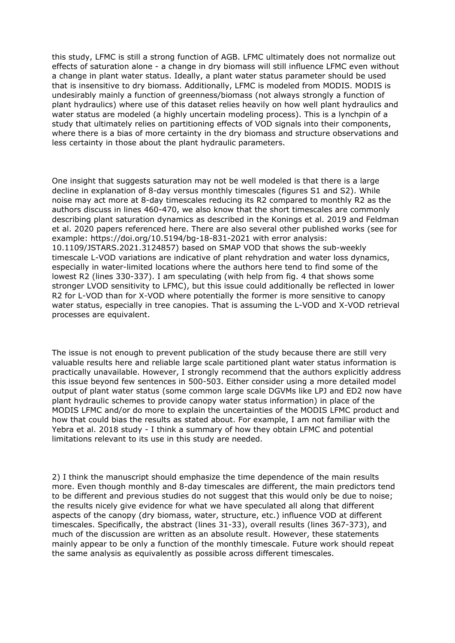this study, LFMC is still a strong function of AGB. LFMC ultimately does not normalize out effects of saturation alone - a change in dry biomass will still influence LFMC even without a change in plant water status. Ideally, a plant water status parameter should be used that is insensitive to dry biomass. Additionally, LFMC is modeled from MODIS. MODIS is undesirably mainly a function of greenness/biomass (not always strongly a function of plant hydraulics) where use of this dataset relies heavily on how well plant hydraulics and water status are modeled (a highly uncertain modeling process). This is a lynchpin of a study that ultimately relies on partitioning effects of VOD signals into their components, where there is a bias of more certainty in the dry biomass and structure observations and less certainty in those about the plant hydraulic parameters.

One insight that suggests saturation may not be well modeled is that there is a large decline in explanation of 8-day versus monthly timescales (figures S1 and S2). While noise may act more at 8-day timescales reducing its R2 compared to monthly R2 as the authors discuss in lines 460-470, we also know that the short timescales are commonly describing plant saturation dynamics as described in the Konings et al. 2019 and Feldman et al. 2020 papers referenced here. There are also several other published works (see for example: https://doi.org/10.5194/bg-18-831-2021 with error analysis: 10.1109/JSTARS.2021.3124857) based on SMAP VOD that shows the sub-weekly timescale L-VOD variations are indicative of plant rehydration and water loss dynamics, especially in water-limited locations where the authors here tend to find some of the lowest R2 (lines 330-337). I am speculating (with help from fig. 4 that shows some stronger LVOD sensitivity to LFMC), but this issue could additionally be reflected in lower R2 for L-VOD than for X-VOD where potentially the former is more sensitive to canopy water status, especially in tree canopies. That is assuming the L-VOD and X-VOD retrieval processes are equivalent.

The issue is not enough to prevent publication of the study because there are still very valuable results here and reliable large scale partitioned plant water status information is practically unavailable. However, I strongly recommend that the authors explicitly address this issue beyond few sentences in 500-503. Either consider using a more detailed model output of plant water status (some common large scale DGVMs like LPJ and ED2 now have plant hydraulic schemes to provide canopy water status information) in place of the MODIS LFMC and/or do more to explain the uncertainties of the MODIS LFMC product and how that could bias the results as stated about. For example, I am not familiar with the Yebra et al. 2018 study - I think a summary of how they obtain LFMC and potential limitations relevant to its use in this study are needed.

2) I think the manuscript should emphasize the time dependence of the main results more. Even though monthly and 8-day timescales are different, the main predictors tend to be different and previous studies do not suggest that this would only be due to noise; the results nicely give evidence for what we have speculated all along that different aspects of the canopy (dry biomass, water, structure, etc.) influence VOD at different timescales. Specifically, the abstract (lines 31-33), overall results (lines 367-373), and much of the discussion are written as an absolute result. However, these statements mainly appear to be only a function of the monthly timescale. Future work should repeat the same analysis as equivalently as possible across different timescales.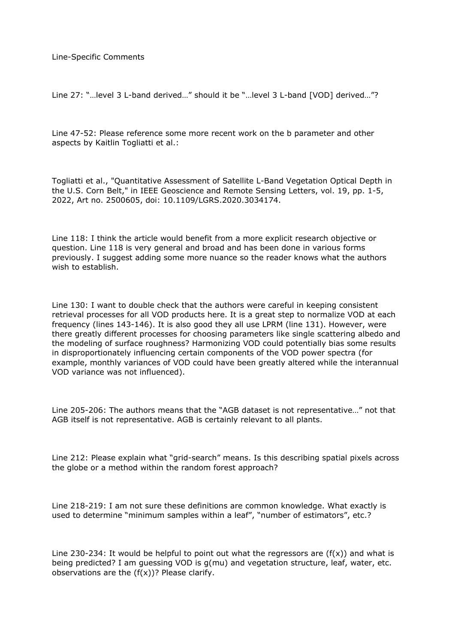Line-Specific Comments

Line 27: "…level 3 L-band derived…" should it be "…level 3 L-band [VOD] derived…"?

Line 47-52: Please reference some more recent work on the b parameter and other aspects by Kaitlin Togliatti et al.:

Togliatti et al., "Quantitative Assessment of Satellite L-Band Vegetation Optical Depth in the U.S. Corn Belt," in IEEE Geoscience and Remote Sensing Letters, vol. 19, pp. 1-5, 2022, Art no. 2500605, doi: 10.1109/LGRS.2020.3034174.

Line 118: I think the article would benefit from a more explicit research objective or question. Line 118 is very general and broad and has been done in various forms previously. I suggest adding some more nuance so the reader knows what the authors wish to establish.

Line 130: I want to double check that the authors were careful in keeping consistent retrieval processes for all VOD products here. It is a great step to normalize VOD at each frequency (lines 143-146). It is also good they all use LPRM (line 131). However, were there greatly different processes for choosing parameters like single scattering albedo and the modeling of surface roughness? Harmonizing VOD could potentially bias some results in disproportionately influencing certain components of the VOD power spectra (for example, monthly variances of VOD could have been greatly altered while the interannual VOD variance was not influenced).

Line 205-206: The authors means that the "AGB dataset is not representative…" not that AGB itself is not representative. AGB is certainly relevant to all plants.

Line 212: Please explain what "grid-search" means. Is this describing spatial pixels across the globe or a method within the random forest approach?

Line 218-219: I am not sure these definitions are common knowledge. What exactly is used to determine "minimum samples within a leaf", "number of estimators", etc.?

Line 230-234: It would be helpful to point out what the regressors are  $(f(x))$  and what is being predicted? I am guessing VOD is g(mu) and vegetation structure, leaf, water, etc. observations are the  $(f(x))$ ? Please clarify.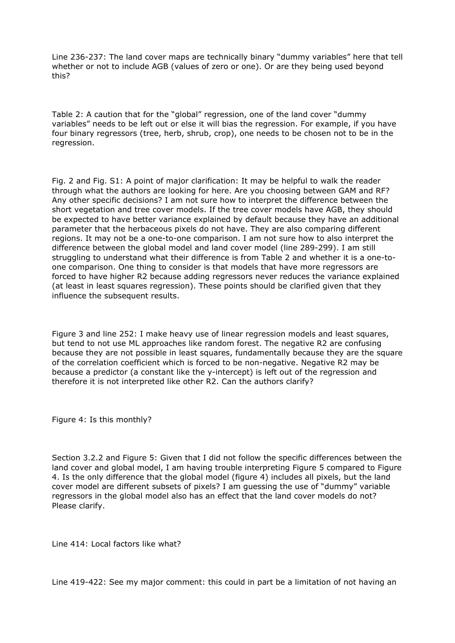Line 236-237: The land cover maps are technically binary "dummy variables" here that tell whether or not to include AGB (values of zero or one). Or are they being used beyond this?

Table 2: A caution that for the "global" regression, one of the land cover "dummy variables" needs to be left out or else it will bias the regression. For example, if you have four binary regressors (tree, herb, shrub, crop), one needs to be chosen not to be in the regression.

Fig. 2 and Fig. S1: A point of major clarification: It may be helpful to walk the reader through what the authors are looking for here. Are you choosing between GAM and RF? Any other specific decisions? I am not sure how to interpret the difference between the short vegetation and tree cover models. If the tree cover models have AGB, they should be expected to have better variance explained by default because they have an additional parameter that the herbaceous pixels do not have. They are also comparing different regions. It may not be a one-to-one comparison. I am not sure how to also interpret the difference between the global model and land cover model (line 289-299). I am still struggling to understand what their difference is from Table 2 and whether it is a one-toone comparison. One thing to consider is that models that have more regressors are forced to have higher R2 because adding regressors never reduces the variance explained (at least in least squares regression). These points should be clarified given that they influence the subsequent results.

Figure 3 and line 252: I make heavy use of linear regression models and least squares, but tend to not use ML approaches like random forest. The negative R2 are confusing because they are not possible in least squares, fundamentally because they are the square of the correlation coefficient which is forced to be non-negative. Negative R2 may be because a predictor (a constant like the y-intercept) is left out of the regression and therefore it is not interpreted like other R2. Can the authors clarify?

Figure 4: Is this monthly?

Section 3.2.2 and Figure 5: Given that I did not follow the specific differences between the land cover and global model, I am having trouble interpreting Figure 5 compared to Figure 4. Is the only difference that the global model (figure 4) includes all pixels, but the land cover model are different subsets of pixels? I am guessing the use of "dummy" variable regressors in the global model also has an effect that the land cover models do not? Please clarify.

Line 414: Local factors like what?

Line 419-422: See my major comment: this could in part be a limitation of not having an